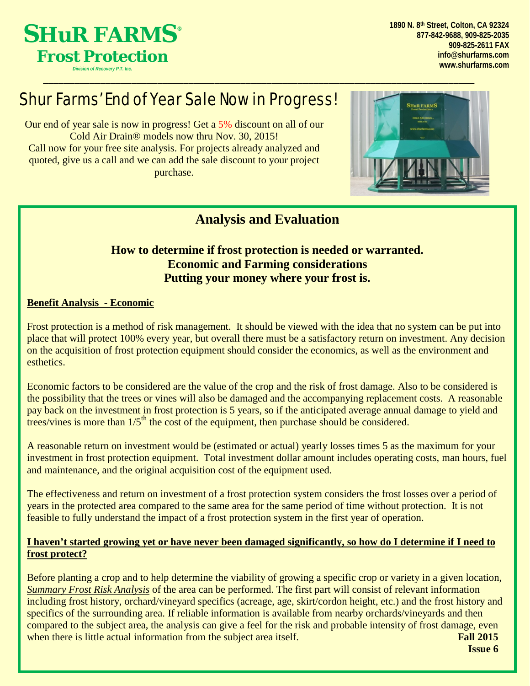

**1890 N. 8th Street, Colton, CA 92324 877-842-9688, 909-825-2035 909-825-2611 FAX [info@shurfarms.com](mailto:info@shurfarms.com) [www.shurfarms.com](http://www.shurfarms.com/)**

## Shur Farms' End of Year Sale Now in Progress!

Our end of year sale is now in progress! Get a 5% discount on all of our Cold Air Drain® models now thru Nov. 30, 2015! Call now for your free site analysis. For projects already analyzed and quoted, give us a call and we can add the sale discount to your project purchase.



### **Analysis and Evaluation**

#### **How to determine if frost protection is needed or warranted. Economic and Farming considerations Putting your money where your frost is.**

#### **Benefit Analysis - Economic**

Frost protection is a method of risk management. It should be viewed with the idea that no system can be put into place that will protect 100% every year, but overall there must be a satisfactory return on investment. Any decision on the acquisition of frost protection equipment should consider the economics, as well as the environment and esthetics.

Economic factors to be considered are the value of the crop and the risk of frost damage. Also to be considered is the possibility that the trees or vines will also be damaged and the accompanying replacement costs. A reasonable pay back on the investment in frost protection is 5 years, so if the anticipated average annual damage to yield and trees/vines is more than  $1/5<sup>th</sup>$  the cost of the equipment, then purchase should be considered.

A reasonable return on investment would be (estimated or actual) yearly losses times 5 as the maximum for your investment in frost protection equipment. Total investment dollar amount includes operating costs, man hours, fuel and maintenance, and the original acquisition cost of the equipment used.

The effectiveness and return on investment of a frost protection system considers the frost losses over a period of years in the protected area compared to the same area for the same period of time without protection. It is not feasible to fully understand the impact of a frost protection system in the first year of operation.

#### **I haven't started growing yet or have never been damaged significantly, so how do I determine if I need to frost protect?**

**Fall 2015** Before planting a crop and to help determine the viability of growing a specific crop or variety in a given location, *Summary Frost Risk Analysis* of the area can be performed. The first part will consist of relevant information including frost history, orchard/vineyard specifics (acreage, age, skirt/cordon height, etc.) and the frost history and specifics of the surrounding area. If reliable information is available from nearby orchards/vineyards and then compared to the subject area, the analysis can give a feel for the risk and probable intensity of frost damage, even when there is little actual information from the subject area itself.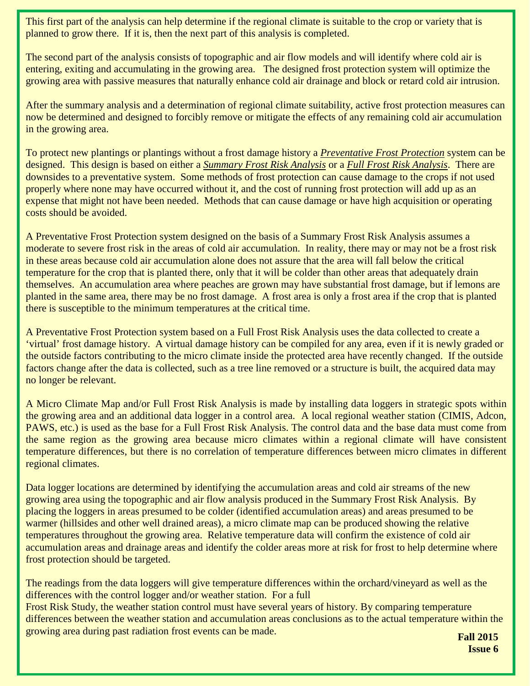This first part of the analysis can help determine if the regional climate is suitable to the crop or variety that is planned to grow there. If it is, then the next part of this analysis is completed.

The second part of the analysis consists of topographic and air flow models and will identify where cold air is entering, exiting and accumulating in the growing area. The designed frost protection system will optimize the growing area with passive measures that naturally enhance cold air drainage and block or retard cold air intrusion.

After the summary analysis and a determination of regional climate suitability, active frost protection measures can now be determined and designed to forcibly remove or mitigate the effects of any remaining cold air accumulation in the growing area.

To protect new plantings or plantings without a frost damage history a *Preventative Frost Protection* system can be designed. This design is based on either a *Summary Frost Risk Analysis* or a *Full Frost Risk Analysis*. There are downsides to a preventative system. Some methods of frost protection can cause damage to the crops if not used properly where none may have occurred without it, and the cost of running frost protection will add up as an expense that might not have been needed. Methods that can cause damage or have high acquisition or operating costs should be avoided.

A Preventative Frost Protection system designed on the basis of a Summary Frost Risk Analysis assumes a moderate to severe frost risk in the areas of cold air accumulation. In reality, there may or may not be a frost risk in these areas because cold air accumulation alone does not assure that the area will fall below the critical temperature for the crop that is planted there, only that it will be colder than other areas that adequately drain themselves. An accumulation area where peaches are grown may have substantial frost damage, but if lemons are planted in the same area, there may be no frost damage. A frost area is only a frost area if the crop that is planted there is susceptible to the minimum temperatures at the critical time.

A Preventative Frost Protection system based on a Full Frost Risk Analysis uses the data collected to create a 'virtual' frost damage history. A virtual damage history can be compiled for any area, even if it is newly graded or the outside factors contributing to the micro climate inside the protected area have recently changed. If the outside factors change after the data is collected, such as a tree line removed or a structure is built, the acquired data may no longer be relevant.

A Micro Climate Map and/or Full Frost Risk Analysis is made by installing data loggers in strategic spots within the growing area and an additional data logger in a control area. A local regional weather station (CIMIS, Adcon, PAWS, etc.) is used as the base for a Full Frost Risk Analysis. The control data and the base data must come from the same region as the growing area because micro climates within a regional climate will have consistent temperature differences, but there is no correlation of temperature differences between micro climates in different regional climates.

Data logger locations are determined by identifying the accumulation areas and cold air streams of the new growing area using the topographic and air flow analysis produced in the Summary Frost Risk Analysis. By placing the loggers in areas presumed to be colder (identified accumulation areas) and areas presumed to be warmer (hillsides and other well drained areas), a micro climate map can be produced showing the relative temperatures throughout the growing area. Relative temperature data will confirm the existence of cold air accumulation areas and drainage areas and identify the colder areas more at risk for frost to help determine where frost protection should be targeted.

The readings from the data loggers will give temperature differences within the orchard/vineyard as well as the differences with the control logger and/or weather station. For a full

Frost Risk Study, the weather station control must have several years of history. By comparing temperature differences between the weather station and accumulation areas conclusions as to the actual temperature within the growing area during past radiation frost events can be made.

**Fall 2015 Issue 6**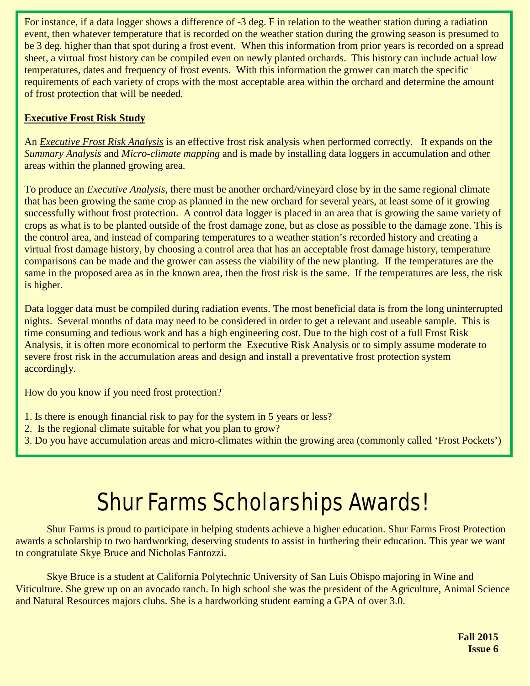For instance, if a data logger shows a difference of -3 deg. F in relation to the weather station during a radiation event, then whatever temperature that is recorded on the weather station during the growing season is presumed to be 3 deg. higher than that spot during a frost event. When this information from prior years is recorded on a spread sheet, a virtual frost history can be compiled even on newly planted orchards. This history can include actual low temperatures, dates and frequency of frost events. With this information the grower can match the specific requirements of each variety of crops with the most acceptable area within the orchard and determine the amount of frost protection that will be needed.

#### **Executive Frost Risk Study**

An *Executive Frost Risk Analysis* is an effective frost risk analysis when performed correctly. It expands on the *Summary Analysis* and *Micro-climate mapping* and is made by installing data loggers in accumulation and other areas within the planned growing area.

To produce an *Executive Analysis,* there must be another orchard/vineyard close by in the same regional climate that has been growing the same crop as planned in the new orchard for several years, at least some of it growing successfully without frost protection. A control data logger is placed in an area that is growing the same variety of crops as what is to be planted outside of the frost damage zone, but as close as possible to the damage zone. This is the control area, and instead of comparing temperatures to a weather station's recorded history and creating a virtual frost damage history, by choosing a control area that has an acceptable frost damage history, temperature comparisons can be made and the grower can assess the viability of the new planting. If the temperatures are the same in the proposed area as in the known area, then the frost risk is the same. If the temperatures are less, the risk is higher.

Data logger data must be compiled during radiation events. The most beneficial data is from the long uninterrupted nights. Several months of data may need to be considered in order to get a relevant and useable sample. This is time consuming and tedious work and has a high engineering cost. Due to the high cost of a full Frost Risk Analysis, it is often more economical to perform the Executive Risk Analysis or to simply assume moderate to severe frost risk in the accumulation areas and design and install a preventative frost protection system accordingly.

How do you know if you need frost protection?

- 1. Is there is enough financial risk to pay for the system in 5 years or less?
- 2. Is the regional climate suitable for what you plan to grow?
- 3. Do you have accumulation areas and micro-climates within the growing area (commonly called 'Frost Pockets')

# Shur Farms Scholarships Awards!

Shur Farms is proud to participate in helping students achieve a higher education. Shur Farms Frost Protection awards a scholarship to two hardworking, deserving students to assist in furthering their education. This year we want to congratulate Skye Bruce and Nicholas Fantozzi.

Skye Bruce is a student at California Polytechnic University of San Luis Obispo majoring in Wine and Viticulture. She grew up on an avocado ranch. In high school she was the president of the Agriculture, Animal Science and Natural Resources majors clubs. She is a hardworking student earning a GPA of over 3.0.